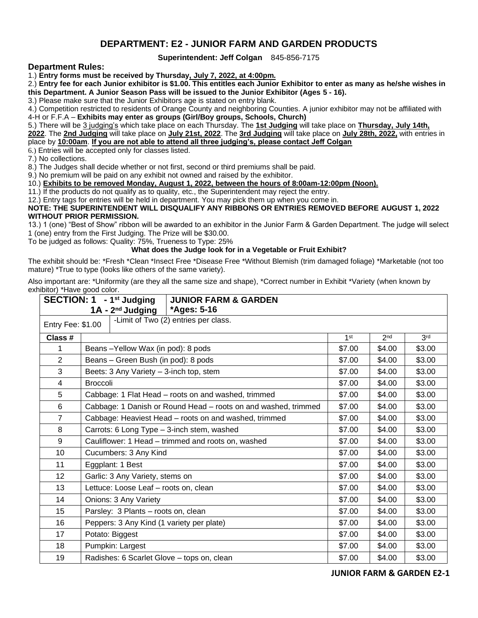## **DEPARTMENT: E2 - JUNIOR FARM AND GARDEN PRODUCTS**

## **Superintendent: Jeff Colgan** 845-856-7175

## **Department Rules:**

1.) **Entry forms must be received by Thursday, July 7, 2022, at 4:00pm.**

2.) **Entry fee for each Junior exhibitor is \$1.00. This entitles each Junior Exhibitor to enter as many as he/she wishes in this Department. A Junior Season Pass will be issued to the Junior Exhibitor (Ages 5 - 16).**

3.) Please make sure that the Junior Exhibitors age is stated on entry blank.

4.) Competition restricted to residents of Orange County and neighboring Counties. A junior exhibitor may not be affiliated with 4-H or F.F.A – **Exhibits may enter as groups (Girl/Boy groups, Schools, Church)**

5.) There will be 3 judging's which take place on each Thursday. The **1st Judging** will take place on **Thursday, July 14th,** 

**2022**. The **2nd Judging** will take place on **July 21st, 2022**. The **3rd Judging** will take place on **July 28th, 2022,** with entries in place by **10:00am**. **If you are not able to attend all three judging's, please contact Jeff Colgan**

6.) Entries will be accepted only for classes listed.

7.) No collections.

8.) The Judges shall decide whether or not first, second or third premiums shall be paid.

9.) No premium will be paid on any exhibit not owned and raised by the exhibitor.

10.) **Exhibits to be removed Monday, August 1, 2022, between the hours of 8:00am-12:00pm (Noon).**

11.) If the products do not qualify as to quality, etc., the Superintendent may reject the entry.

12.) Entry tags for entries will be held in department. You may pick them up when you come in.

**NOTE: THE SUPERINTENDENT WILL DISQUALIFY ANY RIBBONS OR ENTRIES REMOVED BEFORE AUGUST 1, 2022 WITHOUT PRIOR PERMISSION.**

13.) 1 (one) "Best of Show" ribbon will be awarded to an exhibitor in the Junior Farm & Garden Department. The judge will select 1 (one) entry from the First Judging. The Prize will be \$30.00.

To be judged as follows: Quality: 75%, Trueness to Type: 25%

## **What does the Judge look for in a Vegetable or Fruit Exhibit?**

The exhibit should be: \*Fresh \*Clean \*Insect Free \*Disease Free \*Without Blemish (trim damaged foliage) \*Marketable (not too mature) \*True to type (looks like others of the same variety).

Also important are: \*Uniformity (are they all the same size and shape), \*Correct number in Exhibit \*Variety (when known by exhibitor) \*Have good color.

|                                                             | SECTION: 1 - 1 <sup>st</sup> Judging<br><b>JUNIOR FARM &amp; GARDEN</b><br>*Ages: 5-16<br>1A - 2 <sup>nd</sup> Judging |                 |                 |                 |  |
|-------------------------------------------------------------|------------------------------------------------------------------------------------------------------------------------|-----------------|-----------------|-----------------|--|
| -Limit of $Two (2)$ entries per class.<br>Entry Fee: \$1.00 |                                                                                                                        |                 |                 |                 |  |
| Class #                                                     |                                                                                                                        | 1 <sup>st</sup> | 2 <sub>nd</sub> | 3 <sup>rd</sup> |  |
| 1                                                           | Beans-Yellow Wax (in pod): 8 pods                                                                                      | \$7.00          | \$4.00          | \$3.00          |  |
| $\overline{2}$                                              | Beans - Green Bush (in pod): 8 pods                                                                                    | \$7.00          | \$4.00          | \$3.00          |  |
| 3                                                           | Beets: 3 Any Variety - 3-inch top, stem                                                                                | \$7.00          | \$4.00          | \$3.00          |  |
| 4                                                           | <b>Broccoli</b>                                                                                                        | \$7.00          | \$4.00          | \$3.00          |  |
| 5                                                           | Cabbage: 1 Flat Head - roots on and washed, trimmed                                                                    | \$7.00          | \$4.00          | \$3.00          |  |
| 6                                                           | Cabbage: 1 Danish or Round Head - roots on and washed, trimmed                                                         | \$7.00          | \$4.00          | \$3.00          |  |
| $\overline{7}$                                              | Cabbage: Heaviest Head - roots on and washed, trimmed                                                                  | \$7.00          | \$4.00          | \$3.00          |  |
| 8                                                           | Carrots: 6 Long Type - 3-inch stem, washed                                                                             | \$7.00          | \$4.00          | \$3.00          |  |
| 9                                                           | Cauliflower: 1 Head - trimmed and roots on, washed                                                                     | \$7.00          | \$4.00          | \$3.00          |  |
| 10                                                          | Cucumbers: 3 Any Kind                                                                                                  | \$7.00          | \$4.00          | \$3.00          |  |
| 11                                                          | Eggplant: 1 Best                                                                                                       | \$7.00          | \$4.00          | \$3.00          |  |
| 12                                                          | Garlic: 3 Any Variety, stems on                                                                                        | \$7.00          | \$4.00          | \$3.00          |  |
| 13                                                          | Lettuce: Loose Leaf - roots on, clean                                                                                  | \$7.00          | \$4.00          | \$3.00          |  |
| 14                                                          | Onions: 3 Any Variety                                                                                                  | \$7.00          | \$4.00          | \$3.00          |  |
| 15                                                          | Parsley: 3 Plants - roots on, clean                                                                                    | \$7.00          | \$4.00          | \$3.00          |  |
| 16                                                          | Peppers: 3 Any Kind (1 variety per plate)                                                                              | \$7.00          | \$4.00          | \$3.00          |  |
| 17                                                          | Potato: Biggest                                                                                                        | \$7.00          | \$4.00          | \$3.00          |  |
| 18                                                          | Pumpkin: Largest                                                                                                       | \$7.00          | \$4.00          | \$3.00          |  |
| 19                                                          | Radishes: 6 Scarlet Glove - tops on, clean                                                                             | \$7.00          | \$4.00          | \$3.00          |  |

**JUNIOR FARM & GARDEN E2-1**